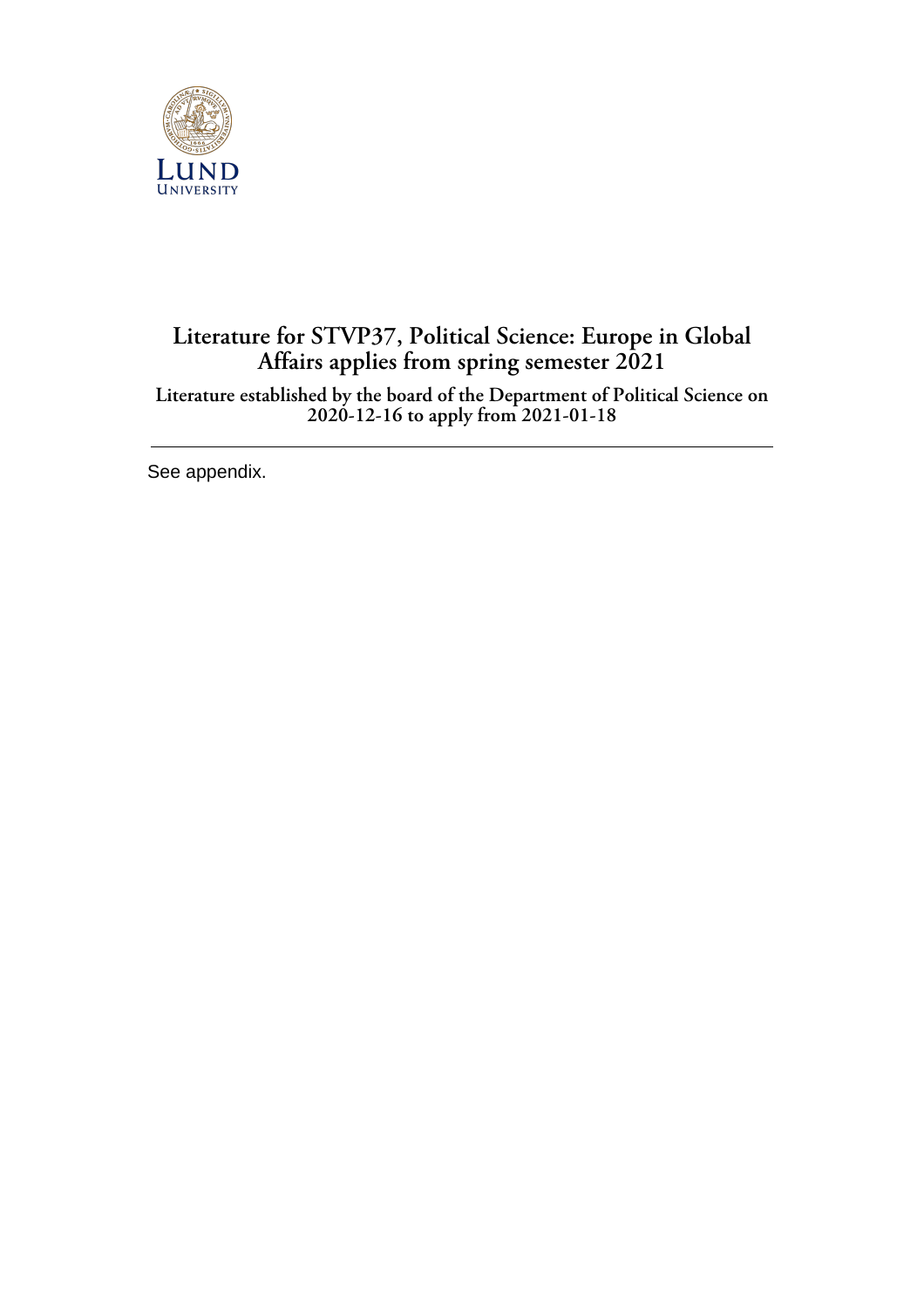

## **Literature for STVP37, Political Science: Europe in Global Affairs applies from spring semester 2021**

**Literature established by the board of the Department of Political Science on 2020-12-16 to apply from 2021-01-18**

See appendix.